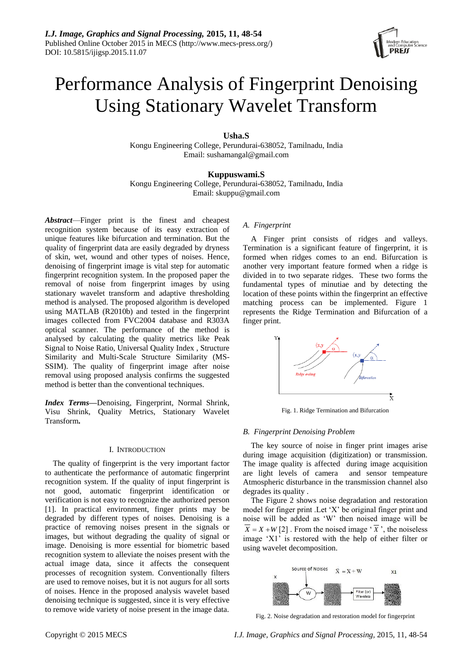

# Performance Analysis of Fingerprint Denoising Using Stationary Wavelet Transform

**Usha.S**

Kongu Engineering College, Perundurai-638052, Tamilnadu, India Email: sushamangal@gmail.com

**Kuppuswami.S**

Kongu Engineering College, Perundurai-638052, Tamilnadu, India Email: skuppu@gmail.com

*Abstract*—Finger print is the finest and cheapest recognition system because of its easy extraction of unique features like bifurcation and termination. But the quality of fingerprint data are easily degraded by dryness of skin, wet, wound and other types of noises. Hence, denoising of fingerprint image is vital step for automatic fingerprint recognition system. In the proposed paper the removal of noise from fingerprint images by using stationary wavelet transform and adaptive thresholding method is analysed. The proposed algorithm is developed using MATLAB (R2010b) and tested in the fingerprint images collected from FVC2004 database and R303A optical scanner. The performance of the method is analysed by calculating the quality metrics like Peak Signal to Noise Ratio, Universal Quality Index , Structure Similarity and Multi-Scale Structure Similarity (MS-SSIM). The quality of fingerprint image after noise removal using proposed analysis confirms the suggested method is better than the conventional techniques.

*Index Terms***—**Denoising, Fingerprint, Normal Shrink, Visu Shrink, Quality Metrics, Stationary Wavelet Transform**.**

# I. INTRODUCTION

The quality of fingerprint is the very important factor to authenticate the performance of automatic fingerprint recognition system. If the quality of input fingerprint is not good, automatic fingerprint identification or verification is not easy to recognize the authorized person [1]. In practical environment, finger prints may be degraded by different types of noises. Denoising is a practice of removing noises present in the signals or images, but without degrading the quality of signal or image. Denoising is more essential for biometric based recognition system to alleviate the noises present with the actual image data, since it affects the consequent processes of recognition system. Conventionally filters are used to remove noises, but it is not augurs for all sorts of noises. Hence in the proposed analysis wavelet based denoising technique is suggested, since it is very effective to remove wide variety of noise present in the image data.

# *A. Fingerprint*

A Finger print consists of ridges and valleys. Termination is a significant feature of fingerprint, it is formed when ridges comes to an end. Bifurcation is another very important feature formed when a ridge is divided in to two separate ridges. These two forms the fundamental types of minutiae and by detecting the location of these points within the fingerprint an effective matching process can be implemented. Figure 1 represents the Ridge Termination and Bifurcation of a finger print.



Fig. 1. Ridge Termination and Bifurcation

# *B. Fingerprint Denoising Problem*

The key source of noise in finger print images arise during image acquisition (digitization) or transmission. The image quality is affected during image acquisition are light levels of camera and sensor tempeature Atmospheric disturbance in the transmission channel also degrades its quality .

The Figure 2 shows noise degradation and restoration model for finger print .Let 'X' be original finger print and noise will be added as 'W' then noised image will be  $X = X + W[2]$ . From the noised image ' $\overline{X}$ ', the noiseless image 'X1' is restored with the help of either filter or using wavelet decomposition.



Fig. 2. Noise degradation and restoration model for fingerprint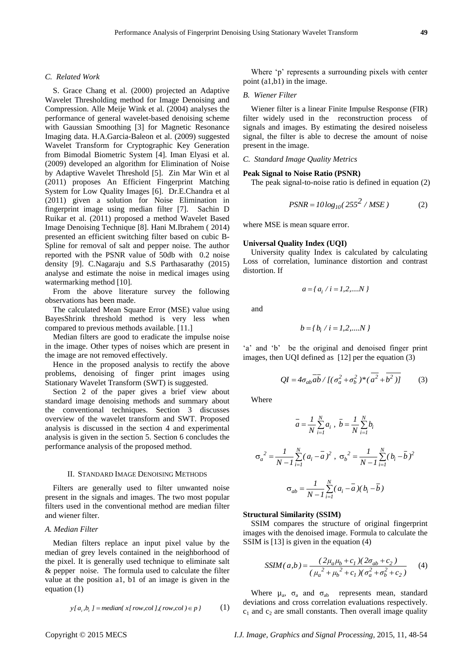#### *C. Related Work*

S. Grace Chang et al. (2000) projected an Adaptive Wavelet Thresholding method for Image Denoising and Compression. Alle Meije Wink et al. (2004) analyses the performance of general wavelet-based denoising scheme with Gaussian Smoothing [3] for Magnetic Resonance Imaging data. H.A.Garcia-Baleon et al. (2009) suggested Wavelet Transform for Cryptographic Key Generation from Bimodal Biometric System [4]. Iman Elyasi et al. (2009) developed an algorithm for Elimination of Noise by Adaptive Wavelet Threshold [5]. Zin Mar Win et al (2011) proposes An Efficient Fingerprint Matching System for Low Quality Images [6]. Dr.E.Chandra et al (2011) given a solution for Noise Elimination in fingerprint image using median filter [7]. Sachin D Ruikar et al. (2011) proposed a method Wavelet Based Image Denoising Technique [8]. Hani M.Ibrahem ( 2014) presented an efficient switching filter based on cubic B-Spline for removal of salt and pepper noise. The author reported with the PSNR value of 50db with 0.2 noise density [9]. C.Nagaraju and S.S Parthasarathy (2015) analyse and estimate the noise in medical images using watermarking method [10].

From the above literature survey the following observations has been made.

The calculated Mean Square Error (MSE) value using BayesShrink threshold method is very less when compared to previous methods available. [11.]

Median filters are good to eradicate the impulse noise in the image. Other types of noises which are present in the image are not removed effectively.

Hence in the proposed analysis to rectify the above problems, denoising of finger print images using Stationary Wavelet Transform (SWT) is suggested.

Section 2 of the paper gives a brief view about standard image denoising methods and summary about the conventional techniques. Section 3 discusses overview of the wavelet transform and SWT. Proposed analysis is discussed in the section 4 and experimental analysis is given in the section 5. Section 6 concludes the performance analysis of the proposed method.

#### II. STANDARD IMAGE DENOISING METHODS

Filters are generally used to filter unwanted noise present in the signals and images. The two most popular filters used in the conventional method are median filter and wiener filter.

#### *A. Median Filter*

Median filters replace an input pixel value by the median of grey levels contained in the neighborhood of the pixel. It is generally used technique to eliminate salt & pepper noise. The formula used to calculate the filter value at the position a1, b1 of an image is given in the equation (1)

$$
y[a_i, b_i] = \text{median}\{x[\text{ row}, \text{col}](\text{ row}, \text{col}) \in p\}
$$
 (1)

Where 'p' represents a surrounding pixels with center point (a1,b1) in the image.

#### *B. Wiener Filter*

Wiener filter is a linear Finite Impulse Response (FIR) filter widely used in the reconstruction process of signals and images. By estimating the desired noiseless signal, the filter is able to decrese the amount of noise present in the image.

# *C. Standard Image Quality Metrics*

#### **Peak Signal to Noise Ratio (PSNR)**

The peak signal-to-noise ratio is defined in equation (2)

$$
PSNR = 10\log_{10}(255^2 / MSE)
$$
 (2)

where MSE is mean square error.

#### **Universal Quality Index (UQI)**

University quality Index is calculated by calculating Loss of correlation, luminance distortion and contrast distortion. If

$$
a = \{ a_i / i = 1, 2, \dots N \}
$$

and

$$
b = \{b_i \; / \; i = 1, 2, \dots N \; \}
$$

'a' and 'b' be the original and denoised finger print images, then UQI defined as [12] per the equation (3)

$$
QI = 4\sigma_{ab}\overline{ab} / [(\sigma_a^2 + \sigma_b^2)^* (\overline{a^2} + \overline{b^2})]
$$
 (3)

Where

$$
\overline{a} = \frac{1}{N} \sum_{i=1}^{N} a_i, \ \overline{b} = \frac{1}{N} \sum_{i=1}^{N} b_i
$$

$$
\sigma_a^2 = \frac{1}{N - 1} \sum_{i=1}^{N} (a_i - \overline{a})^2, \ \sigma_b^2 = \frac{1}{N - 1} \sum_{i=1}^{N} (b_i - \overline{b})^2
$$

$$
\sigma_{ab} = \frac{1}{N - 1} \sum_{i=1}^{N} (a_i - \overline{a}) (b_i - \overline{b})
$$

#### **Structural Similarity (SSIM)**

SSIM compares the structure of original fingerprint images with the denoised image. Formula to calculate the SSIM is [13] is given in the equation (4)

$$
SSIM(a,b) = \frac{(2\mu_a\mu_b + c_1)(2\sigma_{ab} + c_2)}{(\mu_a^2 + \mu_b^2 + c_1)(\sigma_a^2 + \sigma_b^2 + c_2)}
$$
 (4)

Where  $\mu_a$ ,  $\sigma_a$  and  $\sigma_{ab}$  represents mean, standard deviations and cross correlation evaluations respectively.  $c_1$  and  $c_2$  are small constants. Then overall image quality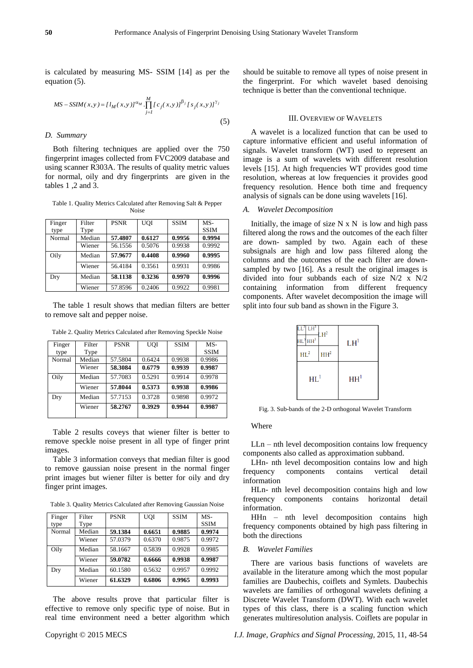is calculated by measuring MS- SSIM [14] as per the equation (5).

$$
MS - SSIM(x, y) = [l_M(x, y)]^{\alpha_M} \cdot \prod_{j=1}^{M} [c_j(x, y)]^{\beta_j} [s_j(x, y)]^{\gamma_j}
$$
\n(5)

# *D. Summary*

Both filtering techniques are applied over the 750 fingerprint images collected from FVC2009 database and using scanner R303A. The results of quality metric values for normal, oily and dry fingerprints are given in the tables 1 ,2 and 3.

Table 1. Quality Metrics Calculated after Removing Salt & Pepper Noise

| Finger | Filter | <b>PSNR</b> | <b>UOI</b> | <b>SSIM</b> | $MS-$       |
|--------|--------|-------------|------------|-------------|-------------|
| type   | Type   |             |            |             | <b>SSIM</b> |
| Normal | Median | 57.4807     | 0.6127     | 0.9956      | 0.9994      |
|        | Wiener | 56.1556     | 0.5076     | 0.9938      | 0.9992      |
| Oily   | Median | 57.9677     | 0.4408     | 0.9960      | 0.9995      |
|        | Wiener | 56.4184     | 0.3561     | 0.9931      | 0.9986      |
| Dry    | Median | 58.1138     | 0.3236     | 0.9970      | 0.9996      |
|        | Wiener | 57.8596     | 0.2406     | 0.9922      | 0.9981      |

The table 1 result shows that median filters are better to remove salt and pepper noise.

| Finger | Filter | <b>PSNR</b> | <b>UOI</b> | <b>SSIM</b> | MS-         |
|--------|--------|-------------|------------|-------------|-------------|
| type   | Type   |             |            |             | <b>SSIM</b> |
| Normal | Median | 57.5804     | 0.6424     | 0.9938      | 0.9986      |
|        | Wiener | 58.3084     | 0.6779     | 0.9939      | 0.9987      |
| Oily   | Median | 57.7083     | 0.5291     | 0.9914      | 0.9978      |
|        | Wiener | 57.8044     | 0.5373     | 0.9938      | 0.9986      |
| Dry    | Median | 57.7153     | 0.3728     | 0.9898      | 0.9972      |
|        | Wiener | 58.2767     | 0.3929     | 0.9944      | 0.9987      |
|        |        |             |            |             |             |

Table 2. Quality Metrics Calculated after Removing Speckle Noise

Table 2 results coveys that wiener filter is better to remove speckle noise present in all type of finger print images.

Table 3 information conveys that median filter is good to remove gaussian noise present in the normal finger print images but wiener filter is better for oily and dry finger print images.

|  | Table 3. Quality Metrics Calculated after Removing Gaussian Noise |  |
|--|-------------------------------------------------------------------|--|
|  |                                                                   |  |

| Finger | Filter | <b>PSNR</b> | <b>UOI</b> | <b>SSIM</b> | $MS-$       |
|--------|--------|-------------|------------|-------------|-------------|
| type   | Type   |             |            |             | <b>SSIM</b> |
| Normal | Median | 59.1384     | 0.6651     | 0.9885      | 0.9974      |
|        | Wiener | 57.0379     | 0.6370     | 0.9875      | 0.9972      |
| Oily   | Median | 58.1667     | 0.5839     | 0.9928      | 0.9985      |
|        | Wiener | 59.0782     | 0.6666     | 0.9938      | 0.9987      |
| Dry    | Median | 60.1580     | 0.5632     | 0.9957      | 0.9992      |
|        | Wiener | 61.6329     | 0.6806     | 0.9965      | 0.9993      |

The above results prove that particular filter is effective to remove only specific type of noise. But in real time environment need a better algorithm which should be suitable to remove all types of noise present in the fingerprint. For which wavelet based denoising technique is better than the conventional technique.

#### III. OVERVIEW OF WAVELETS

A wavelet is a localized function that can be used to capture informative efficient and useful information of signals. Wavelet transform (WT) used to represent an image is a sum of wavelets with different resolution levels [15]. At high frequencies WT provides good time resolution, whereas at low frequencies it provides good frequency resolution. Hence both time and frequency analysis of signals can be done using wavelets [16].

#### *A. Wavelet Decomposition*

Initially, the image of size  $N \times N$  is low and high pass filtered along the rows and the outcomes of the each filter are down- sampled by two. Again each of these subsignals are high and low pass filtered along the columns and the outcomes of the each filter are downsampled by two [16]. As a result the original images is divided into four subbands each of size N/2 x N/2 containing information from different frequency components. After wavelet decomposition the image will split into four sub band as shown in the Figure 3.

| $LL^3$ $LH^3$<br>$HL$ <sup>3</sup> $HH$ <sup>3</sup> | $H^2$           | LH <sup>1</sup> |
|------------------------------------------------------|-----------------|-----------------|
| $\mathrm{HL}^2$                                      | HH <sup>2</sup> |                 |
| $HL^1$                                               |                 | HH <sup>1</sup> |

Fig. 3. Sub-bands of the 2-D orthogonal Wavelet Transform

#### Where

LLn – nth level decomposition contains low frequency components also called as approximation subband.

LHn- nth level decomposition contains low and high frequency components contains vertical detail information

HLn- nth level decomposition contains high and low frequency components contains horizontal detail information.

HHn – nth level decomposition contains high frequency components obtained by high pass filtering in both the directions

# *B. Wavelet Families*

There are various basis functions of wavelets are available in the literature among which the most popular families are Daubechis, coiflets and Symlets. Daubechis wavelets are families of orthogonal wavelets defining a Discrete Wavelet Transform (DWT). With each wavelet types of this class, there is a scaling function which generates multiresolution analysis. Coiflets are popular in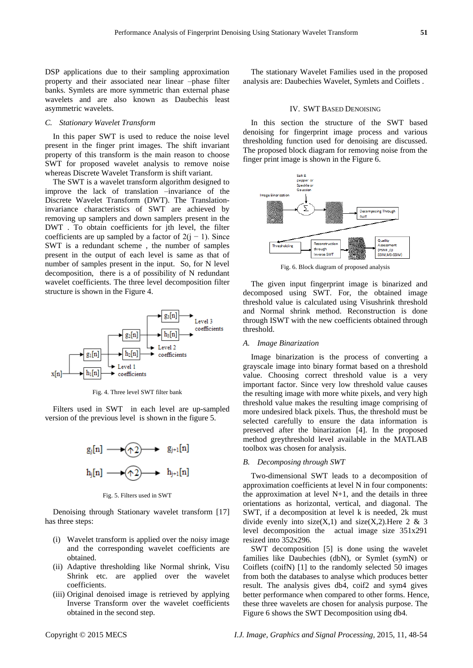DSP applications due to their sampling approximation property and their associated near linear –phase filter banks. Symlets are more symmetric than external phase wavelets and are also known as Daubechis least asymmetric wavelets.

## *C. Stationary Wavelet Transform*

In this paper SWT is used to reduce the noise level present in the finger print images. The shift invariant property of this transform is the main reason to choose SWT for proposed wavelet analysis to remove noise whereas Discrete Wavelet Transform is shift variant.

The SWT is a wavelet transform algorithm designed to improve the lack of translation –invariance of the Discrete Wavelet Transform (DWT). The Translationinvariance characteristics of SWT are achieved by removing up samplers and down samplers present in the DWT . To obtain coefficients for jth level, the filter coefficients are up sampled by a factor of  $2(j - 1)$ . Since SWT is a redundant scheme , the number of samples present in the output of each level is same as that of number of samples present in the input. So, for N level decomposition, there is a of possibility of N redundant wavelet coefficients. The three level decomposition filter structure is shown in the Figure 4.



Fig. 4. Three level SWT filter bank

Filters used in SWT in each level are up-sampled version of the previous level is shown in the figure 5.



Fig. 5. Filters used in SWT

Denoising through Stationary wavelet transform [17] has three steps:

- (i) Wavelet transform is applied over the noisy image and the corresponding wavelet coefficients are obtained.
- (ii) Adaptive thresholding like Normal shrink, Visu Shrink etc. are applied over the wavelet coefficients.
- (iii) Original denoised image is retrieved by applying Inverse Transform over the wavelet coefficients obtained in the second step.

The stationary Wavelet Families used in the proposed analysis are: Daubechies Wavelet, Symlets and Coiflets .

## IV. SWT BASED DENOISING

In this section the structure of the SWT based denoising for fingerprint image process and various thresholding function used for denoising are discussed. The proposed block diagram for removing noise from the finger print image is shown in the Figure 6.



Fig. 6. Block diagram of proposed analysis

The given input fingerprint image is binarized and decomposed using SWT. For, the obtained image threshold value is calculated using Visushrink threshold and Normal shrink method. Reconstruction is done through ISWT with the new coefficients obtained through threshold.

#### *A. Image Binarization*

Image binarization is the process of converting a grayscale image into binary format based on a threshold value. Choosing correct threshold value is a very important factor. Since very low threshold value causes the resulting image with more white pixels, and very high threshold value makes the resulting image comprising of more undesired black pixels. Thus, the threshold must be selected carefully to ensure the data information is preserved after the binarization [4]. In the proposed method greythreshold level available in the MATLAB toolbox was chosen for analysis.

#### *B. Decomposing through SWT*

Two-dimensional SWT leads to a decomposition of approximation coefficients at level N in four components: the approximation at level  $N+1$ , and the details in three orientations as horizontal, vertical, and diagonal. The SWT, if a decomposition at level k is needed, 2k must divide evenly into size(X,1) and size(X,2). Here 2 & 3 level decomposition the actual image size 351x291 resized into 352x296.

SWT decomposition [5] is done using the wavelet families like Daubechies (dbN), or Symlet (symN) or Coiflets (coifN) [1] to the randomly selected 50 images from both the databases to analyse which produces better result. The analysis gives db4, coif2 and sym4 gives better performance when compared to other forms. Hence, these three wavelets are chosen for analysis purpose. The Figure 6 shows the SWT Decomposition using db4.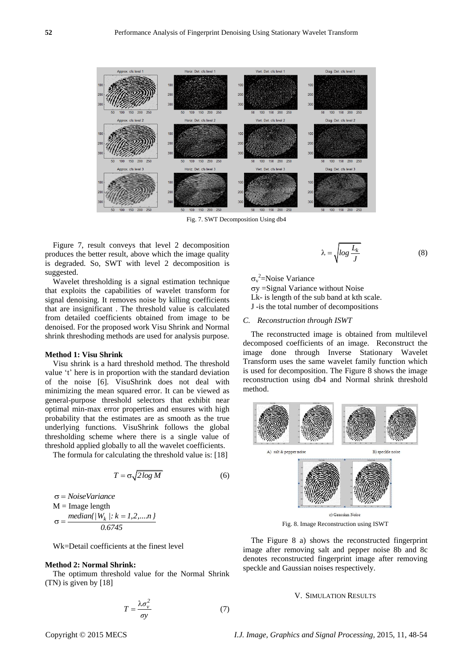

Fig. 7. SWT Decomposition Using db4

Figure 7, result conveys that level 2 decomposition produces the better result, above which the image quality is degraded. So, SWT with level 2 decomposition is suggested.

Wavelet thresholding is a signal estimation technique that exploits the capabilities of wavelet transform for signal denoising. It removes noise by killing coefficients that are insignificant . The threshold value is calculated from detailed coefficients obtained from image to be denoised. For the proposed work Visu Shrink and Normal shrink threshoding methods are used for analysis purpose.

# **Method 1: Visu Shrink**

Visu shrink is a hard threshold method. The threshold value 't' here is in proportion with the standard deviation of the noise [6]. VisuShrink does not deal with minimizing the mean squared error. It can be viewed as general-purpose threshold selectors that exhibit near optimal min-max error properties and ensures with high probability that the estimates are as smooth as the true underlying functions. VisuShrink follows the global thresholding scheme where there is a single value of threshold applied globally to all the wavelet coefficients.

The formula for calculating the threshold value is: [18]

$$
T = \sigma \sqrt{2 \log M} \tag{6}
$$

 *NoiseVariance*  $M = Image$  length  $\sigma = \frac{median\{W_k : k = 1, 2, ..., n\}}{0.6745}$ *0.6745*

Wk=Detail coefficients at the finest level

## **Method 2: Normal Shrink:**

The optimum threshold value for the Normal Shrink (TN) is given by [18]

$$
T = \frac{\lambda \sigma_v^2}{\sigma y} \tag{7}
$$

$$
\lambda = \sqrt{\log \frac{L_k}{J}} \tag{8}
$$

 $\sigma_{\rm v}^2$ =Noise Variance

 $\sigma y =$ Signal Variance without Noise

Lk- is length of the sub band at kth scale.

J -is the total number of decompositions

#### *C. Reconstruction through ISWT*

The reconstructed image is obtained from multilevel decomposed coefficients of an image. Reconstruct the image done through Inverse Stationary Wavelet Transform uses the same wavelet family function which is used for decomposition. The Figure 8 shows the image reconstruction using db4 and Normal shrink threshold method.



Fig. 8. Image Reconstruction using ISWT

The Figure 8 a) shows the reconstructed fingerprint image after removing salt and pepper noise 8b and 8c denotes reconstructed fingerprint image after removing speckle and Gaussian noises respectively.

#### V. SIMULATION RESULTS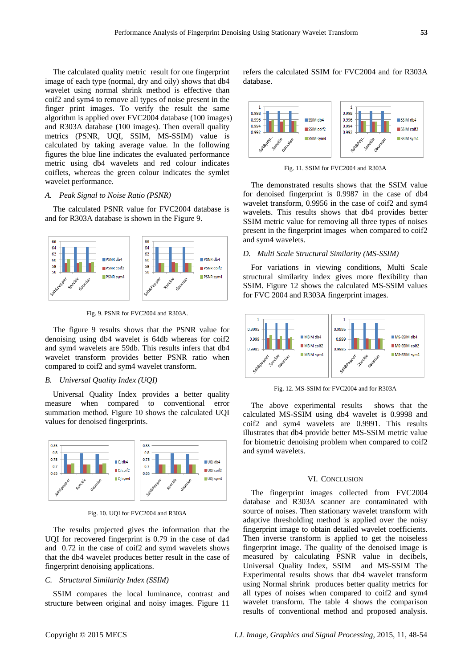The calculated quality metric result for one fingerprint image of each type (normal, dry and oily) shows that db4 wavelet using normal shrink method is effective than coif2 and sym4 to remove all types of noise present in the finger print images. To verify the result the same algorithm is applied over FVC2004 database (100 images) and R303A database (100 images). Then overall quality metrics (PSNR, UQI, SSIM, MS-SSIM) value is calculated by taking average value. In the following figures the blue line indicates the evaluated performance metric using db4 wavelets and red colour indicates coiflets, whereas the green colour indicates the symlet wavelet performance.

# *A. Peak Signal to Noise Ratio (PSNR)*

The calculated PSNR value for FVC2004 database is and for R303A database is shown in the Figure 9.



Fig. 9. PSNR for FVC2004 and R303A.

The figure 9 results shows that the PSNR value for denoising using db4 wavelet is 64db whereas for coif2 and sym4 wavelets are 59db. This results infers that db4 wavelet transform provides better PSNR ratio when compared to coif2 and sym4 wavelet transform.

# *B. Universal Quality Index (UQI)*

Universal Quality Index provides a better quality measure when compared to conventional error summation method. Figure 10 shows the calculated UQI values for denoised fingerprints.



Fig. 10. UQI for FVC2004 and R303A

The results projected gives the information that the UQI for recovered fingerprint is 0.79 in the case of da4 and 0.72 in the case of coif2 and sym4 wavelets shows that the db4 wavelet produces better result in the case of fingerprint denoising applications.

#### *C. Structural Similarity Index (SSIM)*

SSIM compares the local luminance, contrast and structure between original and noisy images. Figure 11

refers the calculated SSIM for FVC2004 and for R303A database.



Fig. 11. SSIM for FVC2004 and R303A

The demonstrated results shows that the SSIM value for denoised fingerprint is 0.9987 in the case of db4 wavelet transform, 0.9956 in the case of coif2 and sym4 wavelets. This results shows that db4 provides better SSIM metric value for removing all three types of noises present in the fingerprint images when compared to coif2 and sym4 wavelets.

# *D. Multi Scale Structural Similarity (MS-SSIM)*

For variations in viewing conditions, Multi Scale structural similarity index gives more flexibility than SSIM. Figure 12 shows the calculated MS-SSIM values for FVC 2004 and R303A fingerprint images.



Fig. 12. MS-SSIM for FVC2004 and for R303A

The above experimental results shows that the calculated MS-SSIM using db4 wavelet is 0.9998 and coif2 and sym4 wavelets are 0.9991. This results illustrates that db4 provide better MS-SSIM metric value for biometric denoising problem when compared to coif2 and sym4 wavelets.

#### VI. CONCLUSION

The fingerprint images collected from FVC2004 database and R303A scanner are contaminated with source of noises. Then stationary wavelet transform with adaptive thresholding method is applied over the noisy fingerprint image to obtain detailed wavelet coefficients. Then inverse transform is applied to get the noiseless fingerprint image. The quality of the denoised image is measured by calculating PSNR value in decibels, Universal Quality Index, SSIM and MS-SSIM The Experimental results shows that db4 wavelet transform using Normal shrink produces better quality metrics for all types of noises when compared to coif2 and sym4 wavelet transform. The table 4 shows the comparison results of conventional method and proposed analysis.